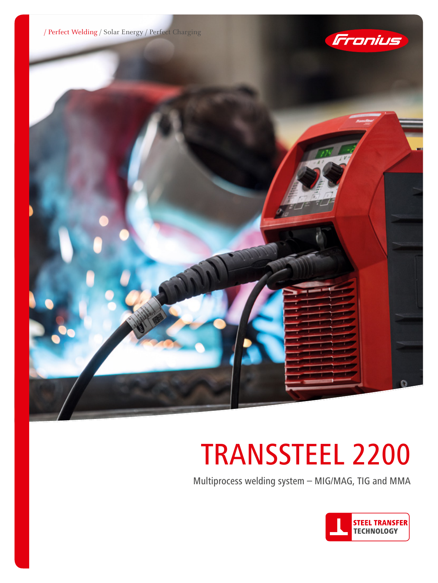





# TRANSSTEEL 2200

Multiprocess welding system – MIG/MAG, TIG and MMA

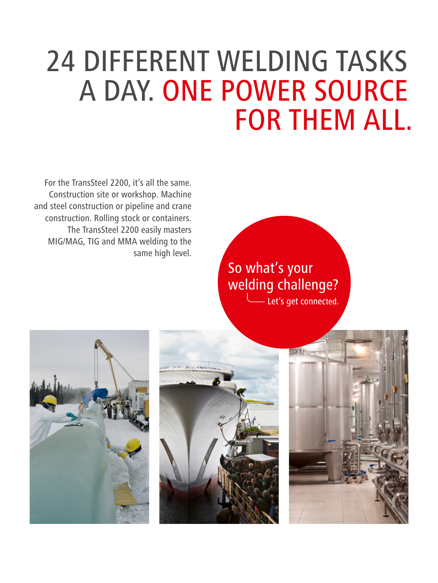## 24 DIFFERENT WELDING TASKS A DAY. ONE POWER SOURCE FOR THEM ALL.

For the TransSteel 2200, it's all the same. Construction site or workshop. Machine and steel construction or pipeline and crane construction. Rolling stock or containers. The TransSteel 2200 easily masters MIG/MAG, TIG and MMA welding to the same high level.

> So what's your welding challenge? Let's get connected.





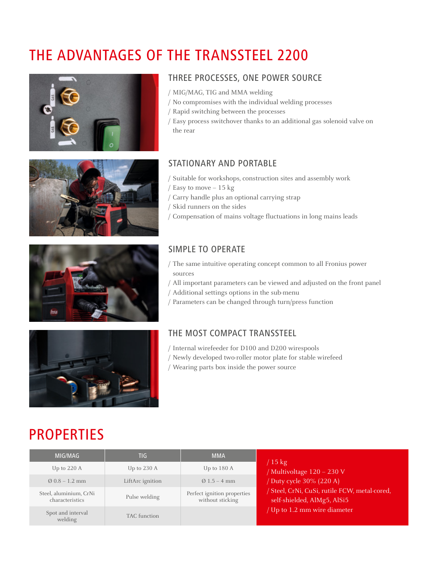## THE ADVANTAGES OF THE TRANSSTEEL 2200







## THREE PROCESSES, ONE POWER SOURCE

- / MIG/MAG, TIG and MMA welding
- / No compromises with the individual welding processes
- / Rapid switching between the processes
- / Easy process switchover thanks to an additional gas solenoid valve on the rear

## STATIONARY AND PORTABLE

- / Suitable for workshops, construction sites and assembly work
- / Easy to move 15 kg
- / Carry handle plus an optional carrying strap
- / Skid runners on the sides
- / Compensation of mains voltage fluctuations in long mains leads

### SIMPLE TO OPERATE

- / The same intuitive operating concept common to all Fronius power sources
- / All important parameters can be viewed and adjusted on the front panel
- / Additional settings options in the sub-menu
- / Parameters can be changed through turn/press function



- / Internal wirefeeder for D100 and D200 wirespools
- / Newly developed two-roller motor plate for stable wirefeed
- / Wearing parts box inside the power source

## PROPERTIES

| MIG/MAG                                   | TIG                   | <b>MMA</b>                                      |                                                                              |
|-------------------------------------------|-----------------------|-------------------------------------------------|------------------------------------------------------------------------------|
| Up to $220 \text{ A}$                     | Up to $230 \text{ A}$ | Up to 180 A                                     | $15 \text{ kg}$<br>/ Multivoltage 120 - 230 V                                |
| $\varnothing$ 0.8 – 1.2 mm                | LiftArc ignition      | $Q$ 1.5 – 4 mm                                  | / Duty cycle 30% (220 A)                                                     |
| Steel, aluminium, CrNi<br>characteristics | Pulse welding         | Perfect ignition properties<br>without sticking | / Steel, CrNi, CuSi, rutile FCW, metal-cored,<br>self-shielded, AlMg5, AlSi5 |
| Spot and interval<br>welding              | <b>TAC</b> function   |                                                 | / Up to 1.2 mm wire diameter                                                 |